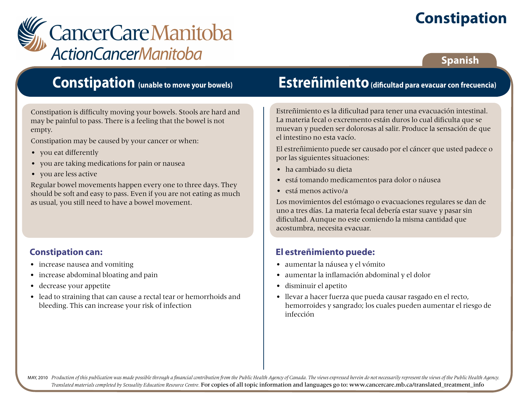# **Constipation**



### **Spanish**

### **Constipation (unable to move your bowels)**

Constipation is difficulty moving your bowels. Stools are hard and may be painful to pass. There is a feeling that the bowel is not empty.

Constipation may be caused by your cancer or when:

- you eat differently
- you are taking medications for pain or nausea
- you are less active

Regular bowel movements happen every one to three days. They should be soft and easy to pass. Even if you are not eating as much as usual, you still need to have a bowel movement.

#### **Constipation can:**

- increase nausea and vomiting
- increase abdominal bloating and pain
- decrease your appetite
- lead to straining that can cause a rectal tear or hemorrhoids and bleeding. This can increase your risk of infection

### **Estreñimiento (dificultad para evacuar con frecuencia)**

Estreñimiento es la dificultad para tener una evacuación intestinal. La materia fecal o excremento están duros lo cual dificulta que se muevan y pueden ser dolorosas al salir. Produce la sensación de que el intestino no esta vacío.

El estreñimiento puede ser causado por el cáncer que usted padece o por las siguientes situaciones:

- ha cambiado su dieta
- está tomando medicamentos para dolor o náusea
- está menos activo/a

Los movimientos del estómago o evacuaciones regulares se dan de uno a tres días. La materia fecal debería estar suave y pasar sin dificultad. Aunque no este comiendo la misma cantidad que acostumbra, necesita evacuar.

#### **El estreñimiento puede:**

- aumentar la náusea y el vómito
- aumentar la inflamación abdominal y el dolor
- disminuir el apetito
- llevar a hacer fuerza que pueda causar rasgado en el recto, hemorroides y sangrado; los cuales pueden aumentar el riesgo de infección

MAY, 2010 Production of this publication was made possible through a financial contribution from the Public Health Agency of Canada. The views expressed herein do not necessarily represent the views of the Public Health Ag *Translated materials completed by Sexuality Education Resource Centre.* For copies of all topic information and languages go to: www.cancercare.mb.ca/translated\_treatment\_info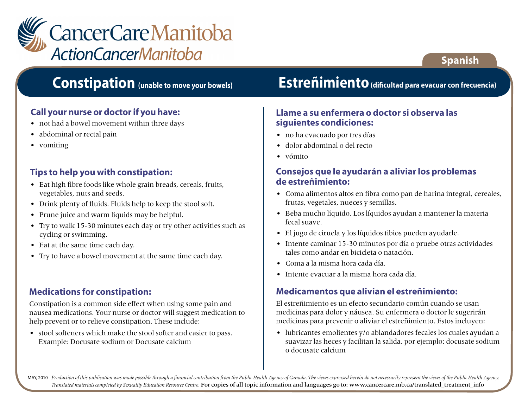

## **Constipation (unable to move your bowels)**

#### **Call your nurse or doctor if you have:**

- not had a bowel movement within three days
- abdominal or rectal pain
- vomiting

#### **Tips to help you with constipation:**

- Eat high fibre foods like whole grain breads, cereals, fruits, vegetables, nuts and seeds.
- Drink plenty of fluids. Fluids help to keep the stool soft.
- Prune juice and warm liquids may be helpful.
- Try to walk 15-30 minutes each day or try other activities such as cycling or swimming.
- Eat at the same time each day.
- Try to have a bowel movement at the same time each day.

#### **Medications for constipation:**

Constipation is a common side effect when using some pain and nausea medications. Your nurse or doctor will suggest medication to help prevent or to relieve constipation. These include:

• stool softeners which make the stool softer and easier to pass. Example: Docusate sodium or Docusate calcium

## **Estreñimiento (dificultad para evacuar con frecuencia)**

**Spanish**

#### **Llame a su enfermera o doctor si observa las siguientes condiciones:**

- no ha evacuado por tres días
- dolor abdominal o del recto
- vómito

#### **Consejos que le ayudarán a aliviar los problemas de estreñimiento:**

- Coma alimentos altos en fibra como pan de harina integral, cereales, frutas, vegetales, nueces y semillas.
- Beba mucho líquido. Los líquidos ayudan a mantener la materia fecal suave.
- El jugo de ciruela y los líquidos tibios pueden ayudarle.
- Intente caminar 15-30 minutos por día o pruebe otras actividades tales como andar en bicicleta o natación.
- Coma a la misma hora cada día.
- Intente evacuar a la misma hora cada día.

#### **Medicamentos que alivian el estreñimiento:**

El estreñimiento es un efecto secundario común cuando se usan medicinas para dolor y náusea. Su enfermera o doctor le sugerirán medicinas para prevenir o aliviar el estreñimiento. Estos incluyen:

• lubricantes emolientes y/o ablandadores fecales los cuales ayudan a suavizar las heces y facilitan la salida. por ejemplo: docusate sodium o docusate calcium

MAY, 2010 Production of this publication was made possible through a financial contribution from the Public Health Agency of Canada. The views expressed herein do not necessarily represent the views of the Public Health Ag *Translated materials completed by Sexuality Education Resource Centre.* For copies of all topic information and languages go to: www.cancercare.mb.ca/translated\_treatment\_info